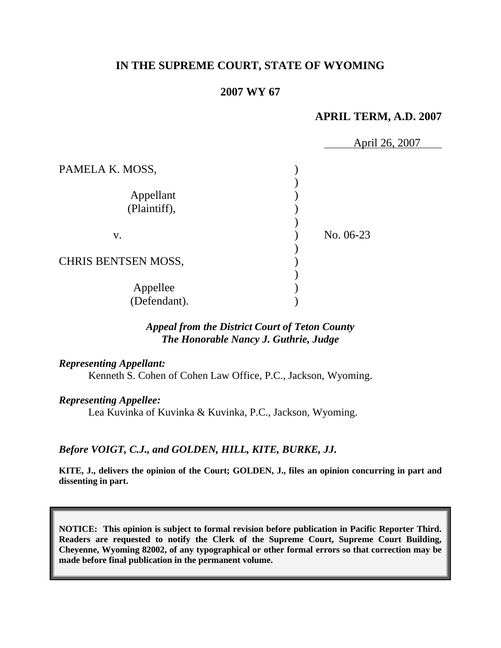# **IN THE SUPREME COURT, STATE OF WYOMING**

## **2007 WY 67**

## **APRIL TERM, A.D. 2007**

|                            | April 26, 2007 |  |
|----------------------------|----------------|--|
| PAMELA K. MOSS,            |                |  |
|                            |                |  |
| Appellant                  |                |  |
| (Plaintiff),               |                |  |
|                            |                |  |
| V.                         | No. 06-23      |  |
|                            |                |  |
| <b>CHRIS BENTSEN MOSS,</b> |                |  |
|                            |                |  |
| Appellee                   |                |  |
| (Defendant).               |                |  |

## *Appeal from the District Court of Teton County The Honorable Nancy J. Guthrie, Judge*

### *Representing Appellant:*

Kenneth S. Cohen of Cohen Law Office, P.C., Jackson, Wyoming.

*Representing Appellee:*

Lea Kuvinka of Kuvinka & Kuvinka, P.C., Jackson, Wyoming.

## *Before VOIGT, C.J., and GOLDEN, HILL, KITE, BURKE, JJ.*

**KITE, J., delivers the opinion of the Court; GOLDEN, J., files an opinion concurring in part and dissenting in part.**

**NOTICE: This opinion is subject to formal revision before publication in Pacific Reporter Third. Readers are requested to notify the Clerk of the Supreme Court, Supreme Court Building, Cheyenne, Wyoming 82002, of any typographical or other formal errors so that correction may be made before final publication in the permanent volume.**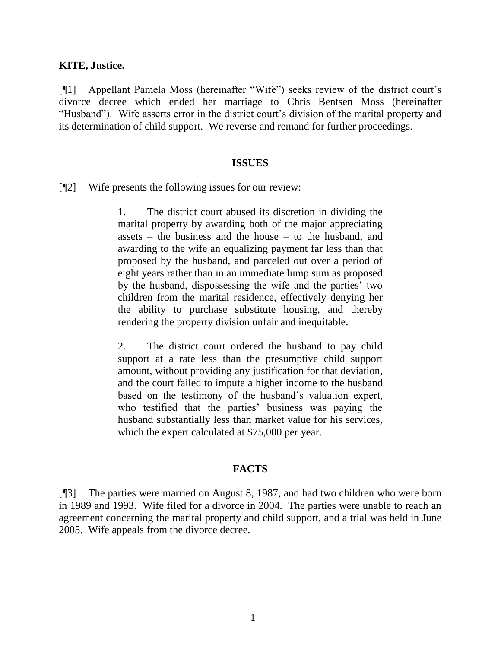## **KITE, Justice.**

[¶1] Appellant Pamela Moss (hereinafter "Wife") seeks review of the district court's divorce decree which ended her marriage to Chris Bentsen Moss (hereinafter "Husband"). Wife asserts error in the district court's division of the marital property and its determination of child support. We reverse and remand for further proceedings.

### **ISSUES**

[¶2] Wife presents the following issues for our review:

1. The district court abused its discretion in dividing the marital property by awarding both of the major appreciating assets – the business and the house – to the husband, and awarding to the wife an equalizing payment far less than that proposed by the husband, and parceled out over a period of eight years rather than in an immediate lump sum as proposed by the husband, dispossessing the wife and the parties' two children from the marital residence, effectively denying her the ability to purchase substitute housing, and thereby rendering the property division unfair and inequitable.

2. The district court ordered the husband to pay child support at a rate less than the presumptive child support amount, without providing any justification for that deviation, and the court failed to impute a higher income to the husband based on the testimony of the husband's valuation expert, who testified that the parties' business was paying the husband substantially less than market value for his services, which the expert calculated at \$75,000 per year.

## **FACTS**

[¶3] The parties were married on August 8, 1987, and had two children who were born in 1989 and 1993. Wife filed for a divorce in 2004. The parties were unable to reach an agreement concerning the marital property and child support, and a trial was held in June 2005. Wife appeals from the divorce decree.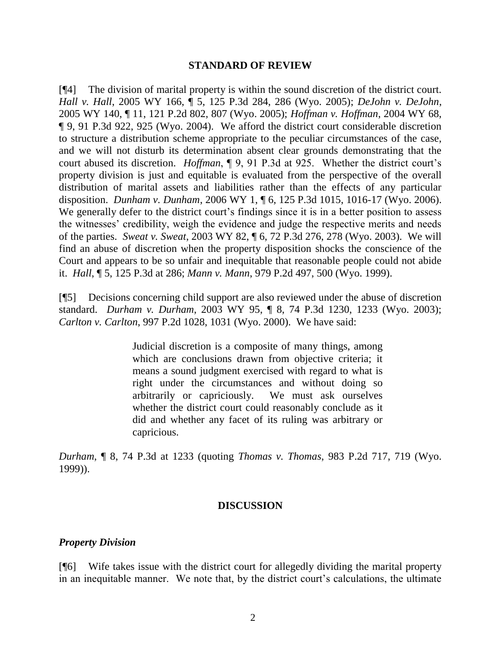#### **STANDARD OF REVIEW**

[¶4] The division of marital property is within the sound discretion of the district court. *Hall v. Hall*, 2005 WY 166, ¶ 5, 125 P.3d 284, 286 (Wyo. 2005); *DeJohn v. DeJohn*, 2005 WY 140, ¶ 11, 121 P.2d 802, 807 (Wyo. 2005); *Hoffman v. Hoffman*, 2004 WY 68, ¶ 9, 91 P.3d 922, 925 (Wyo. 2004). We afford the district court considerable discretion to structure a distribution scheme appropriate to the peculiar circumstances of the case, and we will not disturb its determination absent clear grounds demonstrating that the court abused its discretion. *Hoffman*, ¶ 9, 91 P.3d at 925. Whether the district court's property division is just and equitable is evaluated from the perspective of the overall distribution of marital assets and liabilities rather than the effects of any particular disposition. *Dunham v. Dunham*, 2006 WY 1, ¶ 6, 125 P.3d 1015, 1016-17 (Wyo. 2006). We generally defer to the district court's findings since it is in a better position to assess the witnesses' credibility, weigh the evidence and judge the respective merits and needs of the parties. *Sweat v. Sweat*, 2003 WY 82, ¶ 6, 72 P.3d 276, 278 (Wyo. 2003). We will find an abuse of discretion when the property disposition shocks the conscience of the Court and appears to be so unfair and inequitable that reasonable people could not abide it. *Hall*, ¶ 5, 125 P.3d at 286; *Mann v. Mann*, 979 P.2d 497, 500 (Wyo. 1999).

[¶5] Decisions concerning child support are also reviewed under the abuse of discretion standard. *Durham v. Durham*, 2003 WY 95, ¶ 8, 74 P.3d 1230, 1233 (Wyo. 2003); *Carlton v. Carlton*, 997 P.2d 1028, 1031 (Wyo. 2000). We have said:

> Judicial discretion is a composite of many things, among which are conclusions drawn from objective criteria; it means a sound judgment exercised with regard to what is right under the circumstances and without doing so arbitrarily or capriciously. We must ask ourselves whether the district court could reasonably conclude as it did and whether any facet of its ruling was arbitrary or capricious.

*Durham*, ¶ 8, 74 P.3d at 1233 (quoting *Thomas v. Thomas*, 983 P.2d 717, 719 (Wyo. 1999)).

### **DISCUSSION**

### *Property Division*

[¶6] Wife takes issue with the district court for allegedly dividing the marital property in an inequitable manner. We note that, by the district court's calculations, the ultimate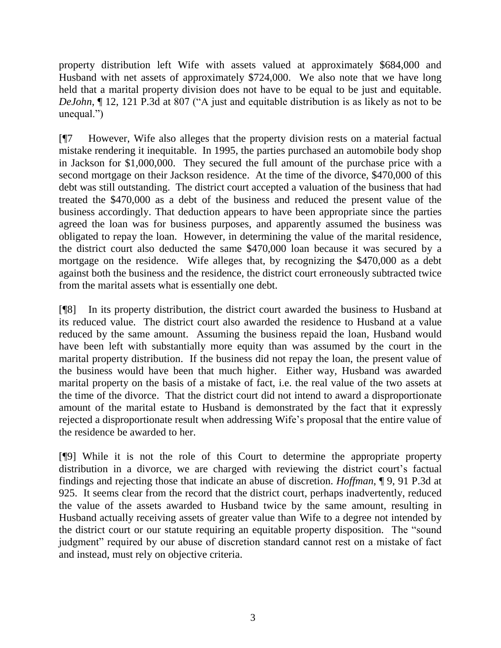property distribution left Wife with assets valued at approximately \$684,000 and Husband with net assets of approximately \$724,000. We also note that we have long held that a marital property division does not have to be equal to be just and equitable. *DeJohn*, ¶ 12, 121 P.3d at 807 ("A just and equitable distribution is as likely as not to be unequal.")

[¶7 However, Wife also alleges that the property division rests on a material factual mistake rendering it inequitable. In 1995, the parties purchased an automobile body shop in Jackson for \$1,000,000. They secured the full amount of the purchase price with a second mortgage on their Jackson residence. At the time of the divorce, \$470,000 of this debt was still outstanding. The district court accepted a valuation of the business that had treated the \$470,000 as a debt of the business and reduced the present value of the business accordingly. That deduction appears to have been appropriate since the parties agreed the loan was for business purposes, and apparently assumed the business was obligated to repay the loan. However, in determining the value of the marital residence, the district court also deducted the same \$470,000 loan because it was secured by a mortgage on the residence. Wife alleges that, by recognizing the \$470,000 as a debt against both the business and the residence, the district court erroneously subtracted twice from the marital assets what is essentially one debt.

[¶8] In its property distribution, the district court awarded the business to Husband at its reduced value. The district court also awarded the residence to Husband at a value reduced by the same amount. Assuming the business repaid the loan, Husband would have been left with substantially more equity than was assumed by the court in the marital property distribution. If the business did not repay the loan, the present value of the business would have been that much higher. Either way, Husband was awarded marital property on the basis of a mistake of fact, i.e. the real value of the two assets at the time of the divorce. That the district court did not intend to award a disproportionate amount of the marital estate to Husband is demonstrated by the fact that it expressly rejected a disproportionate result when addressing Wife's proposal that the entire value of the residence be awarded to her.

[¶9] While it is not the role of this Court to determine the appropriate property distribution in a divorce, we are charged with reviewing the district court's factual findings and rejecting those that indicate an abuse of discretion. *Hoffman*, ¶ 9, 91 P.3d at 925. It seems clear from the record that the district court, perhaps inadvertently, reduced the value of the assets awarded to Husband twice by the same amount, resulting in Husband actually receiving assets of greater value than Wife to a degree not intended by the district court or our statute requiring an equitable property disposition. The "sound judgment" required by our abuse of discretion standard cannot rest on a mistake of fact and instead, must rely on objective criteria.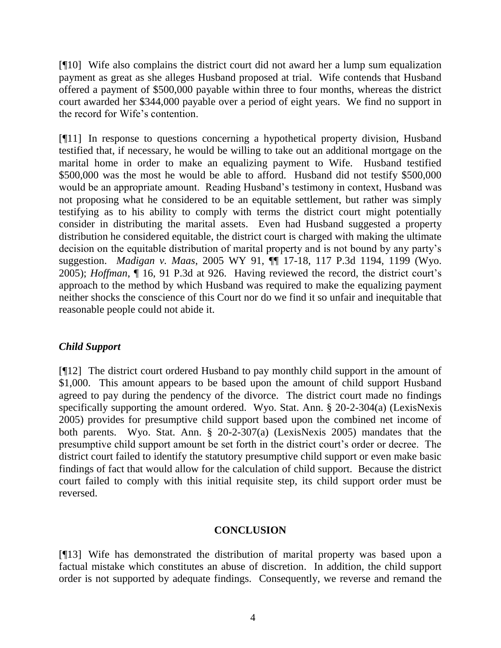[¶10] Wife also complains the district court did not award her a lump sum equalization payment as great as she alleges Husband proposed at trial. Wife contends that Husband offered a payment of \$500,000 payable within three to four months, whereas the district court awarded her \$344,000 payable over a period of eight years. We find no support in the record for Wife's contention.

[¶11] In response to questions concerning a hypothetical property division, Husband testified that, if necessary, he would be willing to take out an additional mortgage on the marital home in order to make an equalizing payment to Wife. Husband testified \$500,000 was the most he would be able to afford. Husband did not testify \$500,000 would be an appropriate amount. Reading Husband's testimony in context, Husband was not proposing what he considered to be an equitable settlement, but rather was simply testifying as to his ability to comply with terms the district court might potentially consider in distributing the marital assets. Even had Husband suggested a property distribution he considered equitable, the district court is charged with making the ultimate decision on the equitable distribution of marital property and is not bound by any party's suggestion. *Madigan v. Maas*, 2005 WY 91, ¶¶ 17-18, 117 P.3d 1194, 1199 (Wyo. 2005); *Hoffman*, ¶ 16, 91 P.3d at 926. Having reviewed the record, the district court's approach to the method by which Husband was required to make the equalizing payment neither shocks the conscience of this Court nor do we find it so unfair and inequitable that reasonable people could not abide it.

## *Child Support*

[¶12] The district court ordered Husband to pay monthly child support in the amount of \$1,000. This amount appears to be based upon the amount of child support Husband agreed to pay during the pendency of the divorce. The district court made no findings specifically supporting the amount ordered. Wyo. Stat. Ann. § 20-2-304(a) (LexisNexis 2005) provides for presumptive child support based upon the combined net income of both parents. Wyo. Stat. Ann. § 20-2-307(a) (LexisNexis 2005) mandates that the presumptive child support amount be set forth in the district court's order or decree. The district court failed to identify the statutory presumptive child support or even make basic findings of fact that would allow for the calculation of child support. Because the district court failed to comply with this initial requisite step, its child support order must be reversed.

## **CONCLUSION**

[¶13] Wife has demonstrated the distribution of marital property was based upon a factual mistake which constitutes an abuse of discretion. In addition, the child support order is not supported by adequate findings. Consequently, we reverse and remand the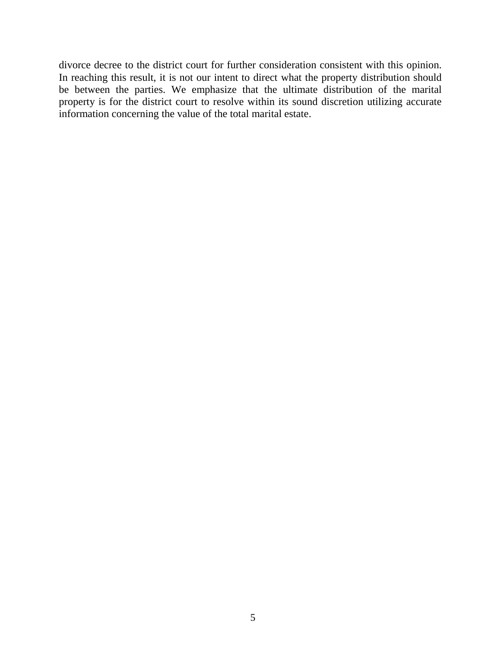divorce decree to the district court for further consideration consistent with this opinion. In reaching this result, it is not our intent to direct what the property distribution should be between the parties. We emphasize that the ultimate distribution of the marital property is for the district court to resolve within its sound discretion utilizing accurate information concerning the value of the total marital estate.